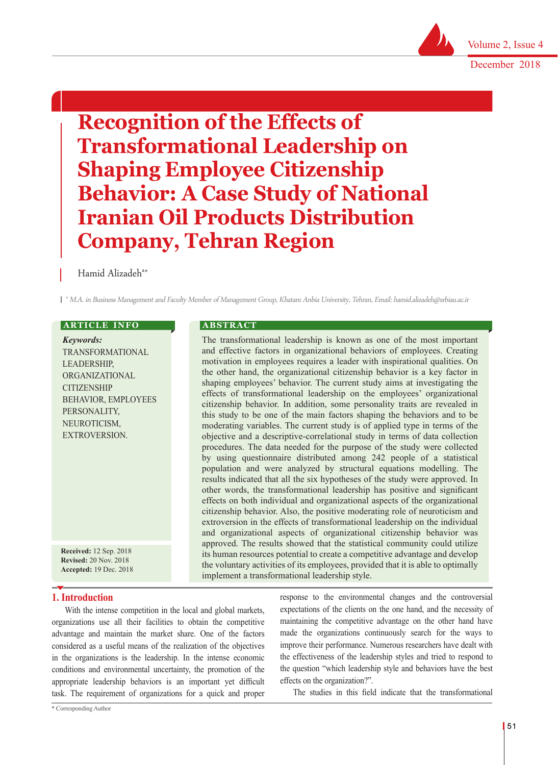Volume 2, Issue 4

December 2018

ׇ֖֚֞֘֝֬

# **Recognition of the Effects of Transformational Leadership on Shaping Employee Citizenship Behavior: A Case Study of National Iranian Oil Products Distribution Company, Tehran Region**

# Hamid Alizadeh<sup>a\*</sup>

a M.A. in Business Management and Faculty Member of Management Group, Khatam Anbia University, Tehran, Email: hamid.alizadeh@srbiau.ac.ir

# **ARTICLE INFO**

*Keywords:* TRANSFORMATIONAL LEADERSHIP, ORGANIZATIONAL **CITIZENSHIP** BEHAVIOR, EMPLOYEES PERSONALITY, NEUROTICISM, EXTROVERSION.

**Received:** 12 Sep. 2018 **Revised:** 20 Nov. 2018 **Accepted:** 19 Dec. 2018

# **1. Introduction**

With the intense competition in the local and global markets, organizations use all their facilities to obtain the competitive advantage and maintain the market share. One of the factors considered as a useful means of the realization of the objectives in the organizations is the leadership. In the intense economic conditions and environmental uncertainty, the promotion of the appropriate leadership behaviors is an important yet difficult task. The requirement of organizations for a quick and proper

# **A B S T R A C T**

The transformational leadership is known as one of the most important and effective factors in organizational behaviors of employees. Creating motivation in employees requires a leader with inspirational qualities. On the other hand, the organizational citizenship behavior is a key factor in shaping employees' behavior. The current study aims at investigating the effects of transformational leadership on the employees' organizational citizenship behavior. In addition, some personality traits are revealed in this study to be one of the main factors shaping the behaviors and to be moderating variables. The current study is of applied type in terms of the objective and a descriptive-correlational study in terms of data collection procedures. The data needed for the purpose of the study were collected by using questionnaire distributed among 242 people of a statistical population and were analyzed by structural equations modelling. The results indicated that all the six hypotheses of the study were approved. In other words, the transformational leadership has positive and significant effects on both individual and organizational aspects of the organizational citizenship behavior. Also, the positive moderating role of neuroticism and extroversion in the effects of transformational leadership on the individual and organizational aspects of organizational citizenship behavior was approved. The results showed that the statistical community could utilize its human resources potential to create a competitive advantage and develop the voluntary activities of its employees, provided that it is able to optimally implement a transformational leadership style.

> response to the environmental changes and the controversial expectations of the clients on the one hand, and the necessity of maintaining the competitive advantage on the other hand have made the organizations continuously search for the ways to improve their performance. Numerous researchers have dealt with the effectiveness of the leadership styles and tried to respond to the question "which leadership style and behaviors have the best effects on the organization?".

The studies in this field indicate that the transformational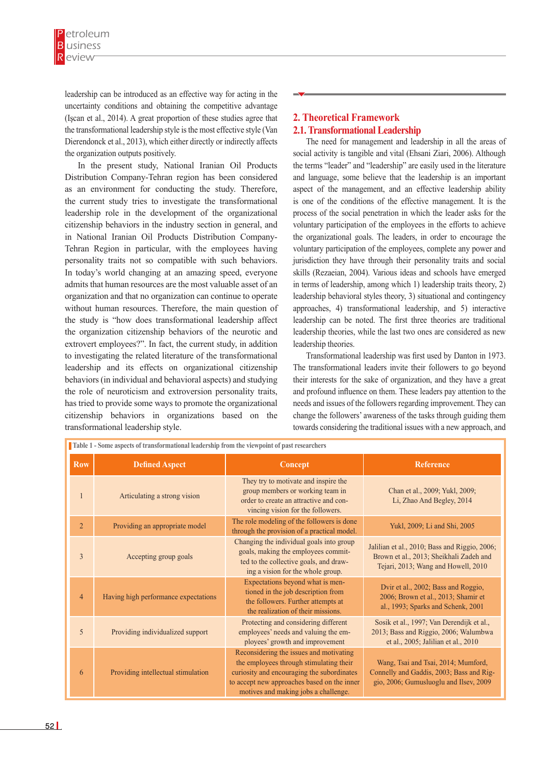leadership can be introduced as an effective way for acting in the uncertainty conditions and obtaining the competitive advantage (Işcan et al., 2014). A great proportion of these studies agree that the transformational leadership style is the most effective style (Van Dierendonck et al., 2013), which either directly or indirectly affects the organization outputs positively.

In the present study, National Iranian Oil Products Distribution Company-Tehran region has been considered as an environment for conducting the study. Therefore, the current study tries to investigate the transformational leadership role in the development of the organizational citizenship behaviors in the industry section in general, and in National Iranian Oil Products Distribution Company-Tehran Region in particular, with the employees having personality traits not so compatible with such behaviors. In today's world changing at an amazing speed, everyone admits that human resources are the most valuable asset of an organization and that no organization can continue to operate without human resources. Therefore, the main question of the study is "how does transformational leadership affect the organization citizenship behaviors of the neurotic and extrovert employees?". In fact, the current study, in addition to investigating the related literature of the transformational leadership and its effects on organizational citizenship behaviors (in individual and behavioral aspects) and studying the role of neuroticism and extroversion personality traits, has tried to provide some ways to promote the organizational citizenship behaviors in organizations based on the transformational leadership style.

# **2. Theoretical Framework 2.1. Transformational Leadership**

The need for management and leadership in all the areas of social activity is tangible and vital (Ehsani Ziari, 2006). Although the terms "leader" and "leadership" are easily used in the literature and language, some believe that the leadership is an important aspect of the management, and an effective leadership ability is one of the conditions of the effective management. It is the process of the social penetration in which the leader asks for the voluntary participation of the employees in the efforts to achieve the organizational goals. The leaders, in order to encourage the voluntary participation of the employees, complete any power and jurisdiction they have through their personality traits and social skills (Rezaeian, 2004). Various ideas and schools have emerged in terms of leadership, among which 1) leadership traits theory, 2) leadership behavioral styles theory, 3) situational and contingency approaches, 4) transformational leadership, and 5) interactive leadership can be noted. The first three theories are traditional leadership theories, while the last two ones are considered as new leadership theories.

Transformational leadership was first used by Danton in 1973. The transformational leaders invite their followers to go beyond their interests for the sake of organization, and they have a great and profound influence on them. These leaders pay attention to the needs and issues of the followers regarding improvement. They can change the followers' awareness of the tasks through guiding them towards considering the traditional issues with a new approach, and

| Table 1 - Some aspects of transformational leadership from the viewpoint of past researchers |                                      |                                                                                                                                                                                                                         |                                                                                                                                 |  |  |  |  |
|----------------------------------------------------------------------------------------------|--------------------------------------|-------------------------------------------------------------------------------------------------------------------------------------------------------------------------------------------------------------------------|---------------------------------------------------------------------------------------------------------------------------------|--|--|--|--|
| <b>Row</b>                                                                                   | <b>Defined Aspect</b>                | Concept                                                                                                                                                                                                                 | <b>Reference</b>                                                                                                                |  |  |  |  |
|                                                                                              | Articulating a strong vision         | They try to motivate and inspire the<br>group members or working team in<br>order to create an attractive and con-<br>vincing vision for the followers.                                                                 | Chan et al., 2009; Yukl, 2009;<br>Li, Zhao And Begley, 2014                                                                     |  |  |  |  |
| $\overline{2}$                                                                               | Providing an appropriate model       | The role modeling of the followers is done<br>through the provision of a practical model.                                                                                                                               | Yukl, 2009; Li and Shi, 2005                                                                                                    |  |  |  |  |
| 3                                                                                            | Accepting group goals                | Changing the individual goals into group<br>goals, making the employees commit-<br>ted to the collective goals, and draw-<br>ing a vision for the whole group.                                                          | Jalilian et al., 2010; Bass and Riggio, 2006;<br>Brown et al., 2013; Sheikhali Zadeh and<br>Tejari, 2013; Wang and Howell, 2010 |  |  |  |  |
| $\overline{4}$                                                                               | Having high performance expectations | Expectations beyond what is men-<br>tioned in the job description from<br>the followers. Further attempts at<br>the realization of their missions.                                                                      | Dvir et al., 2002; Bass and Roggio,<br>2006; Brown et al., 2013; Shamir et<br>al., 1993; Sparks and Schenk, 2001                |  |  |  |  |
| 5                                                                                            | Providing individualized support     | Protecting and considering different<br>employees' needs and valuing the em-<br>ployees' growth and improvement                                                                                                         | Sosik et al., 1997; Van Derendijk et al.,<br>2013; Bass and Riggio, 2006; Walumbwa<br>et al., 2005; Jalilian et al., 2010       |  |  |  |  |
| 6                                                                                            | Providing intellectual stimulation   | Reconsidering the issues and motivating<br>the employees through stimulating their<br>curiosity and encouraging the subordinates<br>to accept new approaches based on the inner<br>motives and making jobs a challenge. | Wang, Tsai and Tsai, 2014; Mumford,<br>Connelly and Gaddis, 2003; Bass and Rig-<br>gio, 2006; Gumusluoglu and Ilsev, 2009       |  |  |  |  |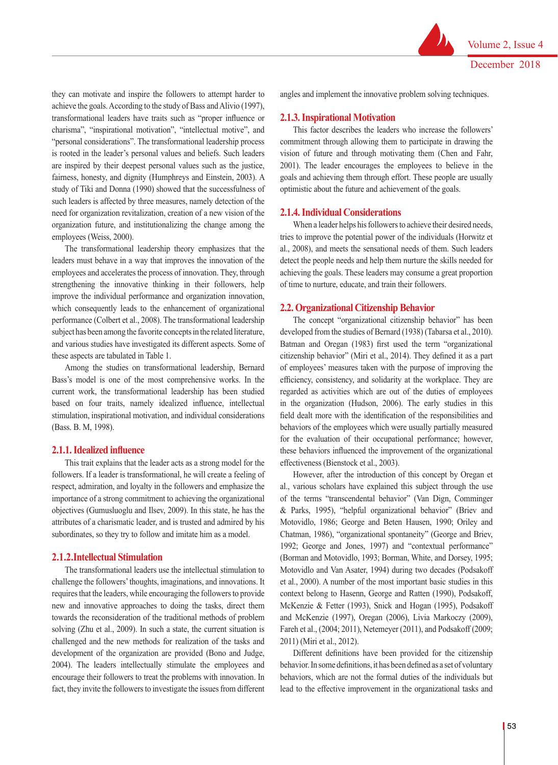they can motivate and inspire the followers to attempt harder to achieve the goals. According to the study of Bass and Alivio (1997), transformational leaders have traits such as "proper influence or charisma", "inspirational motivation", "intellectual motive", and "personal considerations". The transformational leadership process is rooted in the leader's personal values and beliefs. Such leaders are inspired by their deepest personal values such as the justice, fairness, honesty, and dignity (Humphreys and Einstein, 2003). A study of Tiki and Donna (1990) showed that the successfulness of such leaders is affected by three measures, namely detection of the need for organization revitalization, creation of a new vision of the organization future, and institutionalizing the change among the employees (Weiss, 2000).

The transformational leadership theory emphasizes that the leaders must behave in a way that improves the innovation of the employees and accelerates the process of innovation. They, through strengthening the innovative thinking in their followers, help improve the individual performance and organization innovation, which consequently leads to the enhancement of organizational performance (Colbert et al., 2008). The transformational leadership subject has been among the favorite concepts in the related literature, and various studies have investigated its different aspects. Some of these aspects are tabulated in Table 1.

Among the studies on transformational leadership, Bernard Bass's model is one of the most comprehensive works. In the current work, the transformational leadership has been studied based on four traits, namely idealized influence, intellectual stimulation, inspirational motivation, and individual considerations (Bass. B. M, 1998).

#### **2.1.1. Idealized influence**

This trait explains that the leader acts as a strong model for the followers. If a leader is transformational, he will create a feeling of respect, admiration, and loyalty in the followers and emphasize the importance of a strong commitment to achieving the organizational objectives (Gumusluoglu and Ilsev, 2009). In this state, he has the attributes of a charismatic leader, and is trusted and admired by his subordinates, so they try to follow and imitate him as a model.

#### **2.1.2.Intellectual Stimulation**

The transformational leaders use the intellectual stimulation to challenge the followers' thoughts, imaginations, and innovations. It requires that the leaders, while encouraging the followers to provide new and innovative approaches to doing the tasks, direct them towards the reconsideration of the traditional methods of problem solving (Zhu et al., 2009). In such a state, the current situation is challenged and the new methods for realization of the tasks and development of the organization are provided (Bono and Judge, 2004). The leaders intellectually stimulate the employees and encourage their followers to treat the problems with innovation. In fact, they invite the followers to investigate the issues from different

angles and implement the innovative problem solving techniques.

#### **2.1.3. Inspirational Motivation**

This factor describes the leaders who increase the followers' commitment through allowing them to participate in drawing the vision of future and through motivating them (Chen and Fahr, 2001). The leader encourages the employees to believe in the goals and achieving them through effort. These people are usually optimistic about the future and achievement of the goals.

## **2.1.4. Individual Considerations**

When a leader helps his followers to achieve their desired needs, tries to improve the potential power of the individuals (Horwitz et al., 2008), and meets the sensational needs of them. Such leaders detect the people needs and help them nurture the skills needed for achieving the goals. These leaders may consume a great proportion of time to nurture, educate, and train their followers.

#### **2.2. Organizational Citizenship Behavior**

The concept "organizational citizenship behavior" has been developed from the studies of Bernard (1938) (Tabarsa et al., 2010). Batman and Oregan (1983) first used the term "organizational citizenship behavior" (Miri et al., 2014). They defined it as a part of employees' measures taken with the purpose of improving the efficiency, consistency, and solidarity at the workplace. They are regarded as activities which are out of the duties of employees in the organization (Hudson, 2006). The early studies in this field dealt more with the identification of the responsibilities and behaviors of the employees which were usually partially measured for the evaluation of their occupational performance; however, these behaviors influenced the improvement of the organizational effectiveness (Bienstock et al., 2003).

However, after the introduction of this concept by Oregan et al., various scholars have explained this subject through the use of the terms "transcendental behavior" (Van Dign, Comminger & Parks, 1995), "helpful organizational behavior" (Briev and Motovidlo, 1986; George and Beten Hausen, 1990; Oriley and Chatman, 1986), "organizational spontaneity" (George and Briev, 1992; George and Jones, 1997) and "contextual performance" (Borman and Motovidlo, 1993; Borman, White, and Dorsey, 1995; Motovidlo and Van Asater, 1994) during two decades (Podsakoff et al., 2000). A number of the most important basic studies in this context belong to Hasenn, George and Ratten (1990), Podsakoff, McKenzie & Fetter (1993), Snick and Hogan (1995), Podsakoff and McKenzie (1997), Oregan (2006), Livia Markoczy (2009), Fareh et al., (2004; 2011), Netemeyer (2011), and Podsakoff (2009; 2011) (Miri et al., 2012).

Different definitions have been provided for the citizenship behavior. In some definitions, it has been defined as a set of voluntary behaviors, which are not the formal duties of the individuals but lead to the effective improvement in the organizational tasks and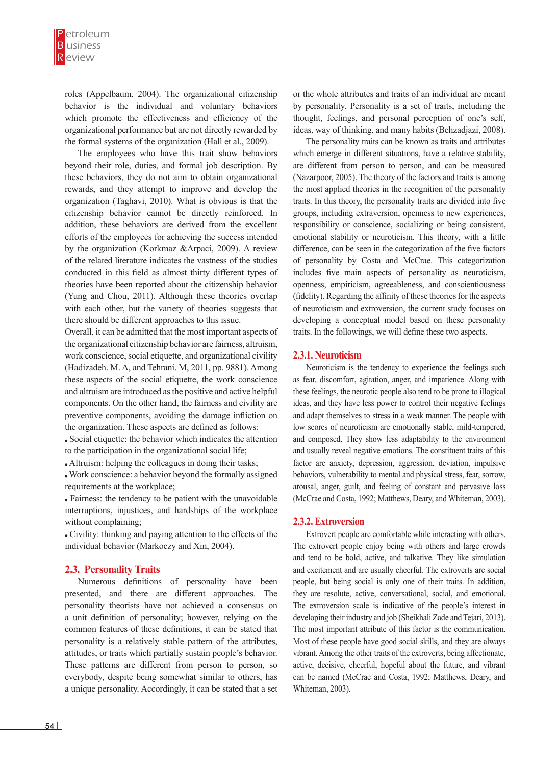roles (Appelbaum, 2004). The organizational citizenship behavior is the individual and voluntary behaviors which promote the effectiveness and efficiency of the organizational performance but are not directly rewarded by the formal systems of the organization (Hall et al., 2009).

The employees who have this trait show behaviors beyond their role, duties, and formal job description. By these behaviors, they do not aim to obtain organizational rewards, and they attempt to improve and develop the organization (Taghavi, 2010). What is obvious is that the citizenship behavior cannot be directly reinforced. In addition, these behaviors are derived from the excellent efforts of the employees for achieving the success intended by the organization (Korkmaz &Arpaci, 2009). A review of the related literature indicates the vastness of the studies conducted in this field as almost thirty different types of theories have been reported about the citizenship behavior (Yung and Chou, 2011). Although these theories overlap with each other, but the variety of theories suggests that there should be different approaches to this issue.

Overall, it can be admitted that the most important aspects of the organizational citizenship behavior are fairness, altruism, work conscience, social etiquette, and organizational civility (Hadizadeh. M. A, and Tehrani. M, 2011, pp. 9881). Among these aspects of the social etiquette, the work conscience and altruism are introduced as the positive and active helpful components. On the other hand, the fairness and civility are preventive components, avoiding the damage infliction on the organization. These aspects are defined as follows:

 Social etiquette: the behavior which indicates the attention to the participation in the organizational social life;

Altruism: helping the colleagues in doing their tasks;

 Work conscience: a behavior beyond the formally assigned requirements at the workplace;

 Fairness: the tendency to be patient with the unavoidable interruptions, injustices, and hardships of the workplace without complaining;

 Civility: thinking and paying attention to the effects of the individual behavior (Markoczy and Xin, 2004).

## **2.3. Personality Traits**

Numerous definitions of personality have been presented, and there are different approaches. The personality theorists have not achieved a consensus on a unit definition of personality; however, relying on the common features of these definitions, it can be stated that personality is a relatively stable pattern of the attributes, attitudes, or traits which partially sustain people's behavior. These patterns are different from person to person, so everybody, despite being somewhat similar to others, has a unique personality. Accordingly, it can be stated that a set or the whole attributes and traits of an individual are meant by personality. Personality is a set of traits, including the thought, feelings, and personal perception of one's self, ideas, way of thinking, and many habits (Behzadjazi, 2008).

The personality traits can be known as traits and attributes which emerge in different situations, have a relative stability, are different from person to person, and can be measured (Nazarpoor, 2005). The theory of the factors and traits is among the most applied theories in the recognition of the personality traits. In this theory, the personality traits are divided into five groups, including extraversion, openness to new experiences, responsibility or conscience, socializing or being consistent, emotional stability or neuroticism. This theory, with a little difference, can be seen in the categorization of the five factors of personality by Costa and McCrae. This categorization includes five main aspects of personality as neuroticism, openness, empiricism, agreeableness, and conscientiousness (fidelity). Regarding the affinity of these theories for the aspects of neuroticism and extroversion, the current study focuses on developing a conceptual model based on these personality traits. In the followings, we will define these two aspects.

# **2.3.1. Neuroticism**

Neuroticism is the tendency to experience the feelings such as fear, discomfort, agitation, anger, and impatience. Along with these feelings, the neurotic people also tend to be prone to illogical ideas, and they have less power to control their negative feelings and adapt themselves to stress in a weak manner. The people with low scores of neuroticism are emotionally stable, mild-tempered, and composed. They show less adaptability to the environment and usually reveal negative emotions. The constituent traits of this factor are anxiety, depression, aggression, deviation, impulsive behaviors, vulnerability to mental and physical stress, fear, sorrow, arousal, anger, guilt, and feeling of constant and pervasive loss (McCrae and Costa, 1992; Matthews, Deary, and Whiteman, 2003).

#### **2.3.2. Extroversion**

Extrovert people are comfortable while interacting with others. The extrovert people enjoy being with others and large crowds and tend to be bold, active, and talkative. They like simulation and excitement and are usually cheerful. The extroverts are social people, but being social is only one of their traits. In addition, they are resolute, active, conversational, social, and emotional. The extroversion scale is indicative of the people's interest in developing their industry and job (Sheikhali Zade and Tejari, 2013). The most important attribute of this factor is the communication. Most of these people have good social skills, and they are always vibrant. Among the other traits of the extroverts, being affectionate, active, decisive, cheerful, hopeful about the future, and vibrant can be named (McCrae and Costa, 1992; Matthews, Deary, and Whiteman, 2003).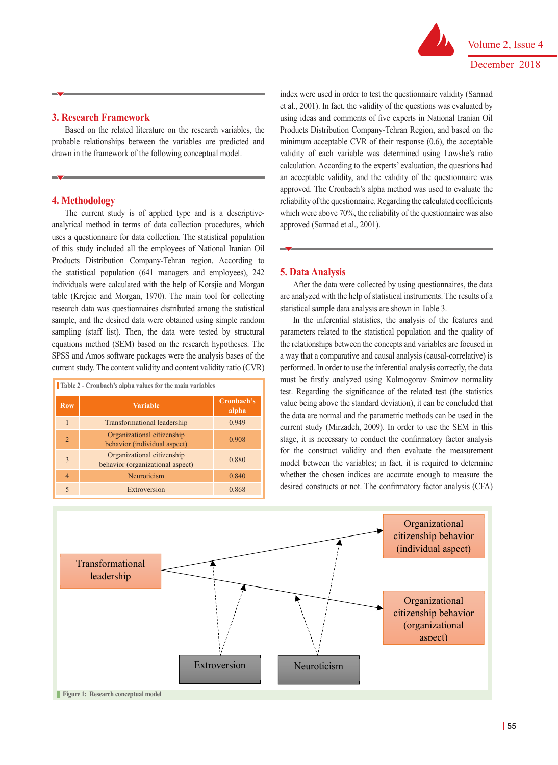## **3. Research Framework**

Based on the related literature on the research variables, the probable relationships between the variables are predicted and drawn in the framework of the following conceptual model.

# **4. Methodology**

The current study is of applied type and is a descriptiveanalytical method in terms of data collection procedures, which were above 70%, the enformy of the questionmane was also analytical method in terms of data collection procedures, which approved (Sarmad et al., 2001). uses a questionnaire for data collection. The statistical population of this study included all the employees of National Iranian Oil Products Distribution Company-Tehran region. According to the statistical population (641 managers and employees),  $242$  **5. Data Analysis** individuals were calculated with the help of Korsjie and Morgan table (Krejcie and Morgan, 1970). The main tool for collecting are analyzed with the help of statistical instruments. The results of a research data was questionnaires distributed among the statistical sample, and the desired data were obtained using simple random and the inferential statistics, the analysis of the features and sample, and the desired data were obtained using simple random In the inferential statistics, equations method (SEM) based on the research hypotheses. The current study. The content validity and content validity ratio  $(CVR)$ 

| Table 2 - Cronbach's alpha values for the main variables |                                                                |                     |  |  |  |
|----------------------------------------------------------|----------------------------------------------------------------|---------------------|--|--|--|
| <b>Row</b>                                               | <b>Variable</b>                                                | Cronbach's<br>alpha |  |  |  |
| 1                                                        | Transformational leadership                                    | 0.949               |  |  |  |
| $\overline{2}$                                           | Organizational citizenship<br>behavior (individual aspect)     | 0.908               |  |  |  |
| 3                                                        | Organizational citizenship<br>behavior (organizational aspect) | 0.880               |  |  |  |
| $\overline{4}$                                           | Neuroticism                                                    | 0.840               |  |  |  |
| $\overline{\phantom{0}}$                                 | Extroversion                                                   | 0.868               |  |  |  |

index were used in order to test the questionnaire validity (Sarmad et al., 2001). In fact, the validity of the questions was evaluated by 3. Research Framework using ideas and comments of five experts in National Iranian Oil Based on the related literature on the research variables, the Products Distribution Company-Tehran Region, and based on the minimum acceptable CVR of their response (0.6), the acceptable drawn in the framework of the following conceptual model. validity of each variable was determined using Lawshe's ratio calculation. According to the experts' evaluation, the questions had an acceptable validity, and the validity of the questionnaire was approved. The Cronbach's alpha method was used to evaluate the reliability of the questionnaire. Regarding the calculated coefficients which were above 70%, the reliability of the questionnaire was also approved (Sarmad et al., 2001).

#### **5. Data Analysis**

After the data were collected by using questionnaires, the data are analyzed with the help of statistical instruments. The results of a statistical sample data analysis are shown in Table 3.

sampling (staff list). Then, the data were tested by structural parameters related to the statistical population and the quality of SPSS and Amos software packages were the analysis bases of the analysis has comparative and causal analysis (causal-correlative) is In the inferential statistics, the analysis of the features and parameters related to the statistical population and the quality of the relationships between the concepts and variables are focused in a way that a comparative and causal analysis (causal-correlative) is performed. In order to use the inferential analysis correctly, the data must be firstly analyzed using Kolmogorov–Smirnov normality test. Regarding the significance of the related test (the statistics value being above the standard deviation), it can be concluded that the data are normal and the parametric methods can be used in the current study (Mirzadeh, 2009). In order to use the SEM in this stage, it is necessary to conduct the confirmatory factor analysis  $\frac{1}{\sqrt{1-\frac{1}{\sqrt{1-\frac{1}{\sqrt{1-\frac{1}{\sqrt{1-\frac{1}{\sqrt{1-\frac{1}{\sqrt{1-\frac{1}{\sqrt{1-\frac{1}{\sqrt{1-\frac{1}{\sqrt{1-\frac{1}{\sqrt{1-\frac{1}{\sqrt{1-\frac{1}{\sqrt{1-\frac{1}{\sqrt{1-\frac{1}{\sqrt{1-\frac{1}{\sqrt{1-\frac{1}{\sqrt{1-\frac{1}{\sqrt{1-\frac{1}{\sqrt{1-\frac{1}{\sqrt{1-\frac{1}{\sqrt{1-\frac{1}{\sqrt{1-\frac{1}{\sqrt{1-\frac{1}{\sqrt{1-\frac{1}{\sqrt{1-\frac{1$ model between the variables; in fact, it is required to determine Neuroticism Neuroticism 0.840 whether the chosen indices are accurate enough to measure the desired constructs or not. The confirmatory factor analysis (CFA)

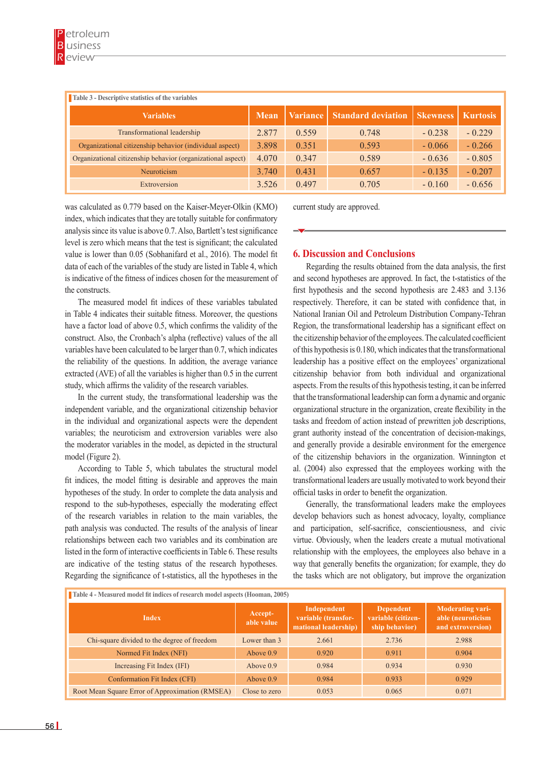| Table 3 - Descriptive statistics of the variables           |             |                 |                           |                 |                 |  |
|-------------------------------------------------------------|-------------|-----------------|---------------------------|-----------------|-----------------|--|
| <b>Variables</b>                                            | <b>Mean</b> | <b>Variance</b> | <b>Standard deviation</b> | <b>Skewness</b> | <b>Kurtosis</b> |  |
| Transformational leadership                                 | 2.877       | 0.559           | 0.748                     | $-0.238$        | $-0.229$        |  |
| Organizational citizenship behavior (individual aspect)     | 3.898       | 0.351           | 0.593                     | $-0.066$        | $-0.266$        |  |
| Organizational citizenship behavior (organizational aspect) | 4.070       | 0.347           | 0.589                     | $-0.636$        | $-0.805$        |  |
| Neuroticism                                                 | 3.740       | 0.431           | 0.657                     | $-0.135$        | $-0.207$        |  |
| Extroversion                                                | 3.526       | 0.497           | 0.705                     | $-0.160$        | $-0.656$        |  |

was calculated as 0.779 based on the Kaiser-Meyer-Olkin (KMO) index, which indicates that they are totally suitable for confirmatory analysis since its value is above 0.7. Also, Bartlett's test significance level is zero which means that the test is significant; the calculated value is lower than 0.05 (Sobhanifard et al., 2016). The model fit data of each of the variables of the study are listed in Table 4, which is indicative of the fitness of indices chosen for the measurement of the constructs.

The measured model fit indices of these variables tabulated in Table 4 indicates their suitable fitness. Moreover, the questions have a factor load of above 0.5, which confirms the validity of the construct. Also, the Cronbach's alpha (reflective) values of the all variables have been calculated to be larger than 0.7, which indicates the reliability of the questions. In addition, the average variance extracted (AVE) of all the variables is higher than 0.5 in the current study, which affirms the validity of the research variables.

In the current study, the transformational leadership was the independent variable, and the organizational citizenship behavior in the individual and organizational aspects were the dependent variables; the neuroticism and extroversion variables were also the moderator variables in the model, as depicted in the structural model (Figure 2).

According to Table 5, which tabulates the structural model fit indices, the model fitting is desirable and approves the main hypotheses of the study. In order to complete the data analysis and respond to the sub-hypotheses, especially the moderating effect of the research variables in relation to the main variables, the path analysis was conducted. The results of the analysis of linear relationships between each two variables and its combination are listed in the form of interactive coefficients in Table 6. These results are indicative of the testing status of the research hypotheses. Regarding the significance of t-statistics, all the hypotheses in the current study are approved.

# **6. Discussion and Conclusions**

Regarding the results obtained from the data analysis, the first and second hypotheses are approved. In fact, the t-statistics of the first hypothesis and the second hypothesis are 2.483 and 3.136 respectively. Therefore, it can be stated with confidence that, in National Iranian Oil and Petroleum Distribution Company-Tehran Region, the transformational leadership has a significant effect on the citizenship behavior of the employees. The calculated coefficient of this hypothesis is 0.180, which indicates that the transformational leadership has a positive effect on the employees' organizational citizenship behavior from both individual and organizational aspects. From the results of this hypothesis testing, it can be inferred that the transformational leadership can form a dynamic and organic organizational structure in the organization, create flexibility in the tasks and freedom of action instead of prewritten job descriptions, grant authority instead of the concentration of decision-makings, and generally provide a desirable environment for the emergence of the citizenship behaviors in the organization. Winnington et al. (2004) also expressed that the employees working with the transformational leaders are usually motivated to work beyond their official tasks in order to benefit the organization.

Generally, the transformational leaders make the employees develop behaviors such as honest advocacy, loyalty, compliance and participation, self-sacrifice, conscientiousness, and civic virtue. Obviously, when the leaders create a mutual motivational relationship with the employees, the employees also behave in a way that generally benefits the organization; for example, they do the tasks which are not obligatory, but improve the organization

| Table 4 - Measured model fit indices of research model aspects (Hooman, 2005) |                       |                                                            |                                                          |                                                                   |  |  |
|-------------------------------------------------------------------------------|-----------------------|------------------------------------------------------------|----------------------------------------------------------|-------------------------------------------------------------------|--|--|
| <b>Index</b>                                                                  | Accept-<br>able value | Independent<br>variable (transfor-<br>mational leadership) | <b>Dependent</b><br>variable (citizen-<br>ship behavior) | <b>Moderating vari-</b><br>able (neuroticism<br>and extroversion) |  |  |
| Chi-square divided to the degree of freedom                                   | Lower than 3          | 2.661                                                      | 2.736                                                    | 2.988                                                             |  |  |
| Normed Fit Index (NFI)                                                        | Above $0.9$           | 0.920                                                      | 0.911                                                    | 0.904                                                             |  |  |
| Increasing Fit Index (IFI)                                                    | Above $0.9$           | 0.984                                                      | 0.934                                                    | 0.930                                                             |  |  |
| Conformation Fit Index (CFI)                                                  | Above $0.9$           | 0.984                                                      | 0.933                                                    | 0.929                                                             |  |  |
| Root Mean Square Error of Approximation (RMSEA)                               | Close to zero         | 0.053                                                      | 0.065                                                    | 0.071                                                             |  |  |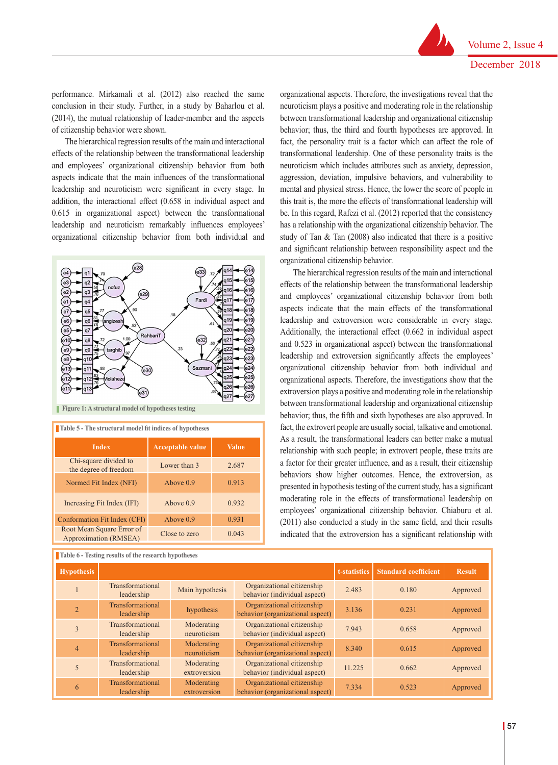performance. Mirkamali et al. (2012) also reached the same conclusion in their study. Further, in a study by Baharlou et al. (2014), the mutual relationship of leader-member and the aspects of citizenship behavior were shown.

The hierarchical regression results of the main and interactional effects of the relationship between the transformational leadership and employees' organizational citizenship behavior from both aspects indicate that the main influences of the transformational leadership and neuroticism were significant in every stage. In addition, the interactional effect (0.658 in individual aspect and 0.615 in organizational aspect) between the transformational leadership and neuroticism remarkably influences employees' organizational citizenship behavior from both individual and



**Figure 1: A structural model of hypotheses testing**

| <b>Table 5 - The structural model fit indices of hypotheses</b> |                         |              |  |  |
|-----------------------------------------------------------------|-------------------------|--------------|--|--|
| <b>Index</b>                                                    | <b>Acceptable value</b> | <b>Value</b> |  |  |
| Chi-square divided to<br>the degree of freedom                  | Lower than 3            | 2.687        |  |  |
| Normed Fit Index (NFI)                                          | Above $0.9$             | 0.913        |  |  |
| Increasing Fit Index (IFI)                                      | Above $0.9$             | 0.932        |  |  |
| Conformation Fit Index (CFI)                                    | Above $0.9$             | 0.931        |  |  |
| Root Mean Square Error of<br>Approximation (RMSEA)              | Close to zero           | 0.043        |  |  |

**Table 6 - Testing results of the research hypotheses**

organizational aspects. Therefore, the investigations reveal that the neuroticism plays a positive and moderating role in the relationship between transformational leadership and organizational citizenship behavior; thus, the third and fourth hypotheses are approved. In fact, the personality trait is a factor which can affect the role of transformational leadership. One of these personality traits is the neuroticism which includes attributes such as anxiety, depression, aggression, deviation, impulsive behaviors, and vulnerability to mental and physical stress. Hence, the lower the score of people in this trait is, the more the effects of transformational leadership will be. In this regard, Rafezi et al. (2012) reported that the consistency has a relationship with the organizational citizenship behavior. The study of Tan & Tan (2008) also indicated that there is a positive and significant relationship between responsibility aspect and the organizational citizenship behavior.

The hierarchical regression results of the main and interactional effects of the relationship between the transformational leadership and employees' organizational citizenship behavior from both aspects indicate that the main effects of the transformational leadership and extroversion were considerable in every stage. Additionally, the interactional effect (0.662 in individual aspect and 0.523 in organizational aspect) between the transformational leadership and extroversion significantly affects the employees' organizational citizenship behavior from both individual and organizational aspects. Therefore, the investigations show that the extroversion plays a positive and moderating role in the relationship between transformational leadership and organizational citizenship behavior; thus, the fifth and sixth hypotheses are also approved. In fact, the extrovert people are usually social, talkative and emotional. As a result, the transformational leaders can better make a mutual relationship with such people; in extrovert people, these traits are a factor for their greater influence, and as a result, their citizenship behaviors show higher outcomes. Hence, the extroversion, as presented in hypothesis testing of the current study, has a significant moderating role in the effects of transformational leadership on employees' organizational citizenship behavior. Chiaburu et al. (2011) also conducted a study in the same field, and their results indicated that the extroversion has a significant relationship with

| <b>Hypothesis</b> |                                |                            |                                                                | t-statistics | <b>Standard coefficient</b> | <b>Result</b> |
|-------------------|--------------------------------|----------------------------|----------------------------------------------------------------|--------------|-----------------------------|---------------|
|                   | Transformational<br>leadership | Main hypothesis            | Organizational citizenship<br>behavior (individual aspect)     | 2.483        | 0.180                       | Approved      |
| $\overline{2}$    | Transformational<br>leadership | hypothesis                 | Organizational citizenship<br>behavior (organizational aspect) | 3.136        | 0.231                       | Approved      |
| 3                 | Transformational<br>leadership | Moderating<br>neuroticism  | Organizational citizenship<br>behavior (individual aspect)     | 7.943        | 0.658                       | Approved      |
| $\overline{4}$    | Transformational<br>leadership | Moderating<br>neuroticism  | Organizational citizenship<br>behavior (organizational aspect) | 8.340        | 0.615                       | Approved      |
|                   | Transformational<br>leadership | Moderating<br>extroversion | Organizational citizenship<br>behavior (individual aspect)     | 11.225       | 0.662                       | Approved      |
| 6                 | Transformational<br>leadership | Moderating<br>extroversion | Organizational citizenship<br>behavior (organizational aspect) | 7.334        | 0.523                       | Approved      |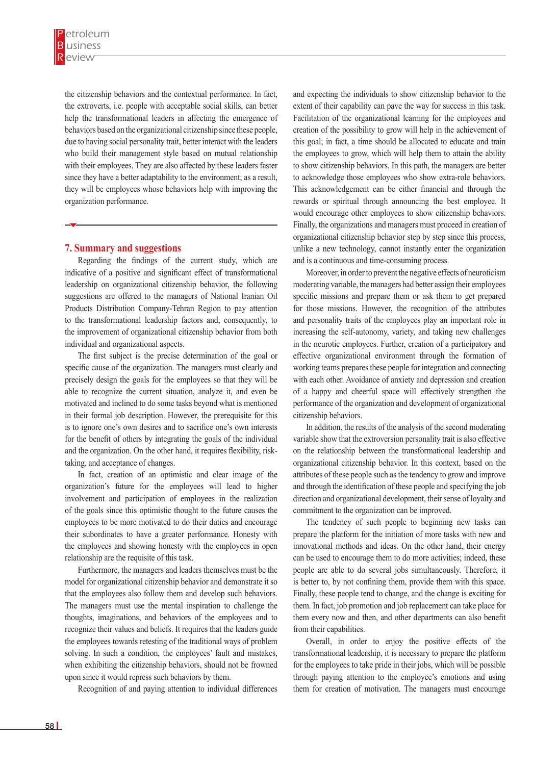the citizenship behaviors and the contextual performance. In fact, the extroverts, i.e. people with acceptable social skills, can better help the transformational leaders in affecting the emergence of behaviors based on the organizational citizenship since these people, due to having social personality trait, better interact with the leaders who build their management style based on mutual relationship with their employees. They are also affected by these leaders faster since they have a better adaptability to the environment; as a result, they will be employees whose behaviors help with improving the organization performance.

## **7. Summary and suggestions**

Regarding the findings of the current study, which are indicative of a positive and significant effect of transformational leadership on organizational citizenship behavior, the following suggestions are offered to the managers of National Iranian Oil Products Distribution Company-Tehran Region to pay attention to the transformational leadership factors and, consequently, to the improvement of organizational citizenship behavior from both individual and organizational aspects.

The first subject is the precise determination of the goal or specific cause of the organization. The managers must clearly and precisely design the goals for the employees so that they will be able to recognize the current situation, analyze it, and even be motivated and inclined to do some tasks beyond what is mentioned in their formal job description. However, the prerequisite for this is to ignore one's own desires and to sacrifice one's own interests for the benefit of others by integrating the goals of the individual and the organization. On the other hand, it requires flexibility, risktaking, and acceptance of changes.

In fact, creation of an optimistic and clear image of the organization's future for the employees will lead to higher involvement and participation of employees in the realization of the goals since this optimistic thought to the future causes the employees to be more motivated to do their duties and encourage their subordinates to have a greater performance. Honesty with the employees and showing honesty with the employees in open relationship are the requisite of this task.

Furthermore, the managers and leaders themselves must be the model for organizational citizenship behavior and demonstrate it so that the employees also follow them and develop such behaviors. The managers must use the mental inspiration to challenge the thoughts, imaginations, and behaviors of the employees and to recognize their values and beliefs. It requires that the leaders guide the employees towards retesting of the traditional ways of problem solving. In such a condition, the employees' fault and mistakes, when exhibiting the citizenship behaviors, should not be frowned upon since it would repress such behaviors by them.

Recognition of and paying attention to individual differences

and expecting the individuals to show citizenship behavior to the extent of their capability can pave the way for success in this task. Facilitation of the organizational learning for the employees and creation of the possibility to grow will help in the achievement of this goal; in fact, a time should be allocated to educate and train the employees to grow, which will help them to attain the ability to show citizenship behaviors. In this path, the managers are better to acknowledge those employees who show extra-role behaviors. This acknowledgement can be either financial and through the rewards or spiritual through announcing the best employee. It would encourage other employees to show citizenship behaviors. Finally, the organizations and managers must proceed in creation of organizational citizenship behavior step by step since this process, unlike a new technology, cannot instantly enter the organization and is a continuous and time-consuming process.

Moreover, in order to prevent the negative effects of neuroticism moderating variable, the managers had better assign their employees specific missions and prepare them or ask them to get prepared for those missions. However, the recognition of the attributes and personality traits of the employees play an important role in increasing the self-autonomy, variety, and taking new challenges in the neurotic employees. Further, creation of a participatory and effective organizational environment through the formation of working teams prepares these people for integration and connecting with each other. Avoidance of anxiety and depression and creation of a happy and cheerful space will effectively strengthen the performance of the organization and development of organizational citizenship behaviors.

In addition, the results of the analysis of the second moderating variable show that the extroversion personality trait is also effective on the relationship between the transformational leadership and organizational citizenship behavior. In this context, based on the attributes of these people such as the tendency to grow and improve and through the identification of these people and specifying the job direction and organizational development, their sense of loyalty and commitment to the organization can be improved.

The tendency of such people to beginning new tasks can prepare the platform for the initiation of more tasks with new and innovational methods and ideas. On the other hand, their energy can be used to encourage them to do more activities; indeed, these people are able to do several jobs simultaneously. Therefore, it is better to, by not confining them, provide them with this space. Finally, these people tend to change, and the change is exciting for them. In fact, job promotion and job replacement can take place for them every now and then, and other departments can also benefit from their capabilities.

Overall, in order to enjoy the positive effects of the transformational leadership, it is necessary to prepare the platform for the employees to take pride in their jobs, which will be possible through paying attention to the employee's emotions and using them for creation of motivation. The managers must encourage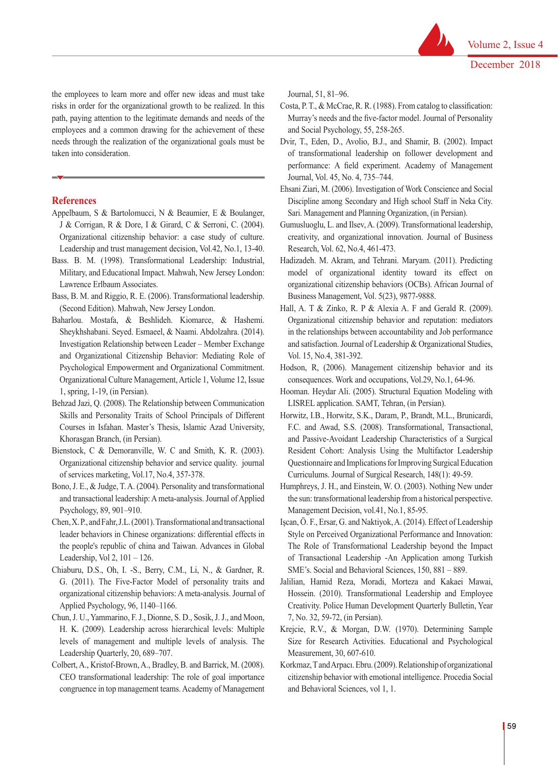the employees to learn more and offer new ideas and must take risks in order for the organizational growth to be realized. In this path, paying attention to the legitimate demands and needs of the employees and a common drawing for the achievement of these needs through the realization of the organizational goals must be taken into consideration.

#### **References**

- Appelbaum, S & Bartolomucci, N & Beaumier, E & Boulanger, J & Corrigan, R & Dore, I & Girard, C & Serroni, C. (2004). Organizational citizenship behavior: a case study of culture. Leadership and trust management decision, Vol.42, No.1, 13-40.
- Bass. B. M. (1998). Transformational Leadership: Industrial, Military, and Educational Impact. Mahwah, New Jersey London: Lawrence Erlbaum Associates.
- Bass, B. M. and Riggio, R. E. (2006). Transformational leadership. (Second Edition). Mahwah, New Jersey London.
- Baharlou. Mostafa, & Beshlideh. Kiomarce, & Hashemi. Sheykhshabani. Seyed. Esmaeel, & Naami. Abdolzahra. (2014). Investigation Relationship between Leader – Member Exchange and Organizational Citizenship Behavior: Mediating Role of Psychological Empowerment and Organizational Commitment. Organizational Culture Management, Article 1, Volume 12, Issue 1, spring, 1-19, (in Persian).
- Behzad Jazi, Q. (2008). The Relationship between Communication Skills and Personality Traits of School Principals of Different Courses in Isfahan. Master's Thesis, Islamic Azad University, Khorasgan Branch, (in Persian).
- Bienstock, C & Demoranville, W. C and Smith, K. R. (2003). Organizational citizenship behavior and service quality. journal of services marketing, Vol.17, No.4, 357-378.
- Bono, J. E., & Judge, T. A. (2004). Personality and transformational and transactional leadership: A meta-analysis. Journal of Applied Psychology, 89, 901–910.
- Chen, X. P., and Fahr, J.L. (2001). Transformational and transactional leader behaviors in Chinese organizations: differential effects in the people's republic of china and Taiwan. Advances in Global Leadership, Vol 2, 101 – 126.
- Chiaburu, D.S., Oh, I. -S., Berry, C.M., Li, N., & Gardner, R. G. (2011). The Five-Factor Model of personality traits and organizational citizenship behaviors: A meta-analysis. Journal of Applied Psychology, 96, 1140–1166.
- Chun, J. U., Yammarino, F. J., Dionne, S. D., Sosik, J. J., and Moon, H. K. (2009). Leadership across hierarchical levels: Multiple levels of management and multiple levels of analysis. The Leadership Quarterly, 20, 689–707.
- Colbert, A., Kristof-Brown, A., Bradley, B. and Barrick, M. (2008). CEO transformational leadership: The role of goal importance congruence in top management teams. Academy of Management

Journal, 51, 81–96.

- Costa, P. T., & McCrae, R. R. (1988). From catalog to classification: Murray's needs and the five-factor model. Journal of Personality and Social Psychology, 55, 258-265.
- Dvir, T., Eden, D., Avolio, B.J., and Shamir, B. (2002). Impact of transformational leadership on follower development and performance: A field experiment. Academy of Management Journal, Vol. 45, No. 4, 735–744.
- Ehsani Ziari, M. (2006). Investigation of Work Conscience and Social Discipline among Secondary and High school Staff in Neka City. Sari. Management and Planning Organization, (in Persian).
- Gumusluoglu, L. and Ilsev, A. (2009). Transformational leadership, creativity, and organizational innovation. Journal of Business Research, Vol. 62, No.4, 461-473.
- Hadizadeh. M. Akram, and Tehrani. Maryam. (2011). Predicting model of organizational identity toward its effect on organizational citizenship behaviors (OCBs). African Journal of Business Management, Vol. 5(23), 9877-9888.
- Hall, A. T & Zinko, R. P & Alexia A. F and Gerald R. (2009). Organizational citizenship behavior and reputation: mediators in the relationships between accountability and Job performance and satisfaction. Journal of Leadership & Organizational Studies, Vol. 15, No.4, 381-392.
- Hodson, R, (2006). Management citizenship behavior and its consequences. Work and occupations, Vol.29, No.1, 64-96.
- Hooman. Heydar Ali. (2005). Structural Equation Modeling with LISREL application. SAMT, Tehran, (in Persian).
- Horwitz, I.B., Horwitz, S.K., Daram, P., Brandt, M.L., Brunicardi, F.C. and Awad, S.S. (2008). Transformational, Transactional, and Passive-Avoidant Leadership Characteristics of a Surgical Resident Cohort: Analysis Using the Multifactor Leadership Questionnaire and Implications for Improving Surgical Education Curriculums. Journal of Surgical Research, 148(1): 49-59.
- Humphreys, J. H., and Einstein, W. O. (2003). Nothing New under the sun: transformational leadership from a historical perspective. Management Decision, vol.41, No.1, 85-95.
- Işcan, Ö. F., Ersar, G. and Naktiyok, A. (2014). Effect of Leadership Style on Perceived Organizational Performance and Innovation: The Role of Transformational Leadership beyond the Impact of Transactional Leadership -An Application among Turkish SME's. Social and Behavioral Sciences, 150, 881 – 889.
- Jalilian, Hamid Reza, Moradi, Morteza and Kakaei Mawai, Hossein. (2010). Transformational Leadership and Employee Creativity. Police Human Development Quarterly Bulletin, Year 7, No. 32, 59-72, (in Persian).
- Krejcie, R.V., & Morgan, D.W. (1970). Determining Sample Size for Research Activities. Educational and Psychological Measurement, 30, 607-610.
- Korkmaz, T and Arpacı. Ebru. (2009). Relationship of organizational citizenship behavior with emotional intelligence. Procedia Social and Behavioral Sciences, vol 1, 1.